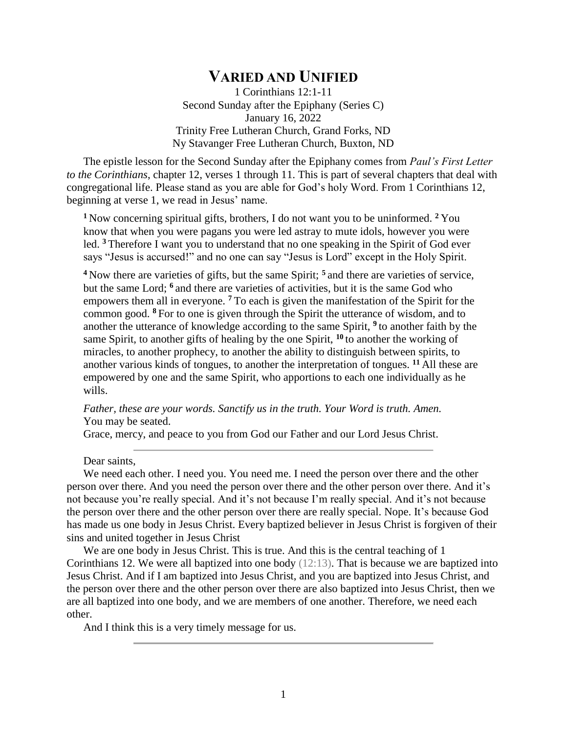## **VARIED AND UNIFIED**

1 Corinthians 12:1-11 Second Sunday after the Epiphany (Series C) January 16, 2022 Trinity Free Lutheran Church, Grand Forks, ND Ny Stavanger Free Lutheran Church, Buxton, ND

The epistle lesson for the Second Sunday after the Epiphany comes from *Paul's First Letter to the Corinthians*, chapter 12, verses 1 through 11. This is part of several chapters that deal with congregational life. Please stand as you are able for God's holy Word. From 1 Corinthians 12, beginning at verse 1, we read in Jesus' name.

**<sup>1</sup>** Now concerning spiritual gifts, brothers, I do not want you to be uninformed. **<sup>2</sup>** You know that when you were pagans you were led astray to mute idols, however you were led. **<sup>3</sup>** Therefore I want you to understand that no one speaking in the Spirit of God ever says "Jesus is accursed!" and no one can say "Jesus is Lord" except in the Holy Spirit.

**<sup>4</sup>** Now there are varieties of gifts, but the same Spirit; **<sup>5</sup>** and there are varieties of service, but the same Lord; **<sup>6</sup>** and there are varieties of activities, but it is the same God who empowers them all in everyone. **<sup>7</sup>** To each is given the manifestation of the Spirit for the common good. **<sup>8</sup>** For to one is given through the Spirit the utterance of wisdom, and to another the utterance of knowledge according to the same Spirit, **<sup>9</sup>** to another faith by the same Spirit, to another gifts of healing by the one Spirit, **<sup>10</sup>** to another the working of miracles, to another prophecy, to another the ability to distinguish between spirits, to another various kinds of tongues, to another the interpretation of tongues. **<sup>11</sup>** All these are empowered by one and the same Spirit, who apportions to each one individually as he wills.

*Father, these are your words. Sanctify us in the truth. Your Word is truth. Amen.* You may be seated.

Grace, mercy, and peace to you from God our Father and our Lord Jesus Christ.

Dear saints,

We need each other. I need you. You need me. I need the person over there and the other person over there. And you need the person over there and the other person over there. And it's not because you're really special. And it's not because I'm really special. And it's not because the person over there and the other person over there are really special. Nope. It's because God has made us one body in Jesus Christ. Every baptized believer in Jesus Christ is forgiven of their sins and united together in Jesus Christ

We are one body in Jesus Christ. This is true. And this is the central teaching of 1 Corinthians 12. We were all baptized into one body (12:13). That is because we are baptized into Jesus Christ. And if I am baptized into Jesus Christ, and you are baptized into Jesus Christ, and the person over there and the other person over there are also baptized into Jesus Christ, then we are all baptized into one body, and we are members of one another. Therefore, we need each other.

And I think this is a very timely message for us.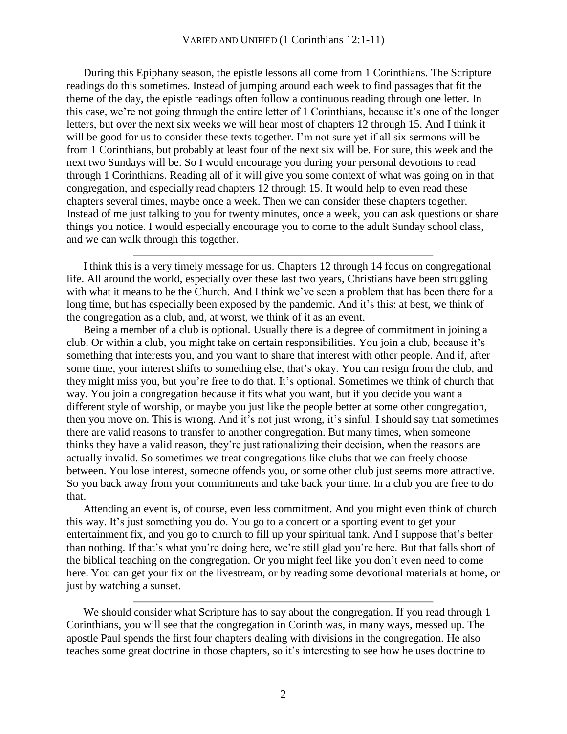## VARIED AND UNIFIED (1 Corinthians 12:1-11)

During this Epiphany season, the epistle lessons all come from 1 Corinthians. The Scripture readings do this sometimes. Instead of jumping around each week to find passages that fit the theme of the day, the epistle readings often follow a continuous reading through one letter. In this case, we're not going through the entire letter of 1 Corinthians, because it's one of the longer letters, but over the next six weeks we will hear most of chapters 12 through 15. And I think it will be good for us to consider these texts together. I'm not sure yet if all six sermons will be from 1 Corinthians, but probably at least four of the next six will be. For sure, this week and the next two Sundays will be. So I would encourage you during your personal devotions to read through 1 Corinthians. Reading all of it will give you some context of what was going on in that congregation, and especially read chapters 12 through 15. It would help to even read these chapters several times, maybe once a week. Then we can consider these chapters together. Instead of me just talking to you for twenty minutes, once a week, you can ask questions or share things you notice. I would especially encourage you to come to the adult Sunday school class, and we can walk through this together.

I think this is a very timely message for us. Chapters 12 through 14 focus on congregational life. All around the world, especially over these last two years, Christians have been struggling with what it means to be the Church. And I think we've seen a problem that has been there for a long time, but has especially been exposed by the pandemic. And it's this: at best, we think of the congregation as a club, and, at worst, we think of it as an event.

Being a member of a club is optional. Usually there is a degree of commitment in joining a club. Or within a club, you might take on certain responsibilities. You join a club, because it's something that interests you, and you want to share that interest with other people. And if, after some time, your interest shifts to something else, that's okay. You can resign from the club, and they might miss you, but you're free to do that. It's optional. Sometimes we think of church that way. You join a congregation because it fits what you want, but if you decide you want a different style of worship, or maybe you just like the people better at some other congregation, then you move on. This is wrong. And it's not just wrong, it's sinful. I should say that sometimes there are valid reasons to transfer to another congregation. But many times, when someone thinks they have a valid reason, they're just rationalizing their decision, when the reasons are actually invalid. So sometimes we treat congregations like clubs that we can freely choose between. You lose interest, someone offends you, or some other club just seems more attractive. So you back away from your commitments and take back your time. In a club you are free to do that.

Attending an event is, of course, even less commitment. And you might even think of church this way. It's just something you do. You go to a concert or a sporting event to get your entertainment fix, and you go to church to fill up your spiritual tank. And I suppose that's better than nothing. If that's what you're doing here, we're still glad you're here. But that falls short of the biblical teaching on the congregation. Or you might feel like you don't even need to come here. You can get your fix on the livestream, or by reading some devotional materials at home, or just by watching a sunset.

We should consider what Scripture has to say about the congregation. If you read through 1 Corinthians, you will see that the congregation in Corinth was, in many ways, messed up. The apostle Paul spends the first four chapters dealing with divisions in the congregation. He also teaches some great doctrine in those chapters, so it's interesting to see how he uses doctrine to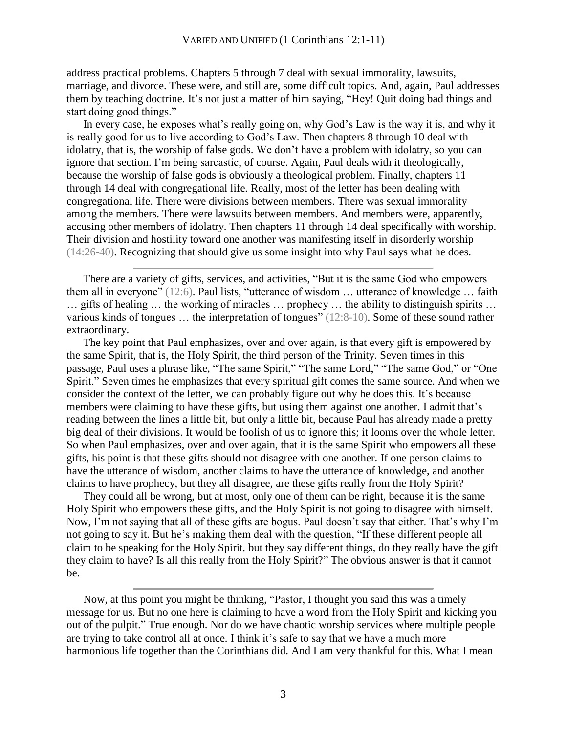address practical problems. Chapters 5 through 7 deal with sexual immorality, lawsuits, marriage, and divorce. These were, and still are, some difficult topics. And, again, Paul addresses them by teaching doctrine. It's not just a matter of him saying, "Hey! Quit doing bad things and start doing good things."

In every case, he exposes what's really going on, why God's Law is the way it is, and why it is really good for us to live according to God's Law. Then chapters 8 through 10 deal with idolatry, that is, the worship of false gods. We don't have a problem with idolatry, so you can ignore that section. I'm being sarcastic, of course. Again, Paul deals with it theologically, because the worship of false gods is obviously a theological problem. Finally, chapters 11 through 14 deal with congregational life. Really, most of the letter has been dealing with congregational life. There were divisions between members. There was sexual immorality among the members. There were lawsuits between members. And members were, apparently, accusing other members of idolatry. Then chapters 11 through 14 deal specifically with worship. Their division and hostility toward one another was manifesting itself in disorderly worship (14:26-40). Recognizing that should give us some insight into why Paul says what he does.

There are a variety of gifts, services, and activities, "But it is the same God who empowers them all in everyone" (12:6). Paul lists, "utterance of wisdom … utterance of knowledge … faith … gifts of healing … the working of miracles … prophecy … the ability to distinguish spirits … various kinds of tongues … the interpretation of tongues" (12:8-10). Some of these sound rather extraordinary.

The key point that Paul emphasizes, over and over again, is that every gift is empowered by the same Spirit, that is, the Holy Spirit, the third person of the Trinity. Seven times in this passage, Paul uses a phrase like, "The same Spirit," "The same Lord," "The same God," or "One Spirit." Seven times he emphasizes that every spiritual gift comes the same source. And when we consider the context of the letter, we can probably figure out why he does this. It's because members were claiming to have these gifts, but using them against one another. I admit that's reading between the lines a little bit, but only a little bit, because Paul has already made a pretty big deal of their divisions. It would be foolish of us to ignore this; it looms over the whole letter. So when Paul emphasizes, over and over again, that it is the same Spirit who empowers all these gifts, his point is that these gifts should not disagree with one another. If one person claims to have the utterance of wisdom, another claims to have the utterance of knowledge, and another claims to have prophecy, but they all disagree, are these gifts really from the Holy Spirit?

They could all be wrong, but at most, only one of them can be right, because it is the same Holy Spirit who empowers these gifts, and the Holy Spirit is not going to disagree with himself. Now, I'm not saying that all of these gifts are bogus. Paul doesn't say that either. That's why I'm not going to say it. But he's making them deal with the question, "If these different people all claim to be speaking for the Holy Spirit, but they say different things, do they really have the gift they claim to have? Is all this really from the Holy Spirit?" The obvious answer is that it cannot be.

Now, at this point you might be thinking, "Pastor, I thought you said this was a timely message for us. But no one here is claiming to have a word from the Holy Spirit and kicking you out of the pulpit." True enough. Nor do we have chaotic worship services where multiple people are trying to take control all at once. I think it's safe to say that we have a much more harmonious life together than the Corinthians did. And I am very thankful for this. What I mean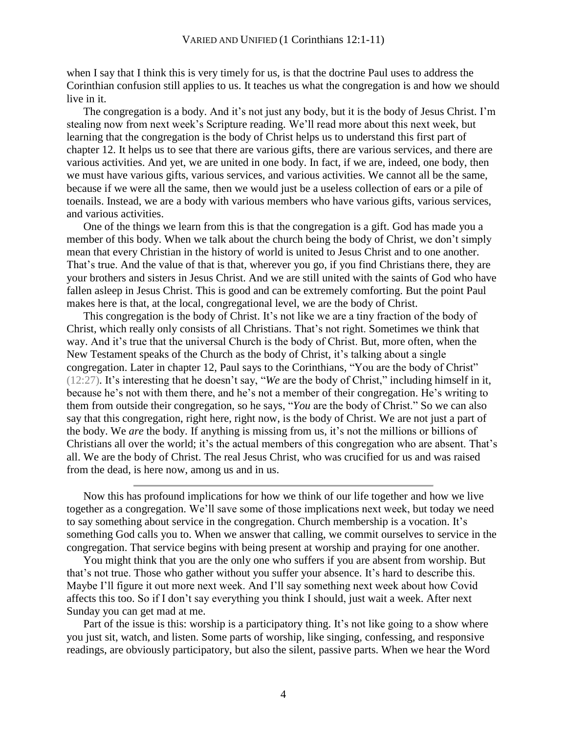when I say that I think this is very timely for us, is that the doctrine Paul uses to address the Corinthian confusion still applies to us. It teaches us what the congregation is and how we should live in it.

The congregation is a body. And it's not just any body, but it is the body of Jesus Christ. I'm stealing now from next week's Scripture reading. We'll read more about this next week, but learning that the congregation is the body of Christ helps us to understand this first part of chapter 12. It helps us to see that there are various gifts, there are various services, and there are various activities. And yet, we are united in one body. In fact, if we are, indeed, one body, then we must have various gifts, various services, and various activities. We cannot all be the same, because if we were all the same, then we would just be a useless collection of ears or a pile of toenails. Instead, we are a body with various members who have various gifts, various services, and various activities.

One of the things we learn from this is that the congregation is a gift. God has made you a member of this body. When we talk about the church being the body of Christ, we don't simply mean that every Christian in the history of world is united to Jesus Christ and to one another. That's true. And the value of that is that, wherever you go, if you find Christians there, they are your brothers and sisters in Jesus Christ. And we are still united with the saints of God who have fallen asleep in Jesus Christ. This is good and can be extremely comforting. But the point Paul makes here is that, at the local, congregational level, we are the body of Christ.

This congregation is the body of Christ. It's not like we are a tiny fraction of the body of Christ, which really only consists of all Christians. That's not right. Sometimes we think that way. And it's true that the universal Church is the body of Christ. But, more often, when the New Testament speaks of the Church as the body of Christ, it's talking about a single congregation. Later in chapter 12, Paul says to the Corinthians, "You are the body of Christ" (12:27). It's interesting that he doesn't say, "*We* are the body of Christ," including himself in it, because he's not with them there, and he's not a member of their congregation. He's writing to them from outside their congregation, so he says, "*You* are the body of Christ." So we can also say that this congregation, right here, right now, is the body of Christ. We are not just a part of the body. We *are* the body. If anything is missing from us, it's not the millions or billions of Christians all over the world; it's the actual members of this congregation who are absent. That's all. We are the body of Christ. The real Jesus Christ, who was crucified for us and was raised from the dead, is here now, among us and in us.

Now this has profound implications for how we think of our life together and how we live together as a congregation. We'll save some of those implications next week, but today we need to say something about service in the congregation. Church membership is a vocation. It's something God calls you to. When we answer that calling, we commit ourselves to service in the congregation. That service begins with being present at worship and praying for one another.

You might think that you are the only one who suffers if you are absent from worship. But that's not true. Those who gather without you suffer your absence. It's hard to describe this. Maybe I'll figure it out more next week. And I'll say something next week about how Covid affects this too. So if I don't say everything you think I should, just wait a week. After next Sunday you can get mad at me.

Part of the issue is this: worship is a participatory thing. It's not like going to a show where you just sit, watch, and listen. Some parts of worship, like singing, confessing, and responsive readings, are obviously participatory, but also the silent, passive parts. When we hear the Word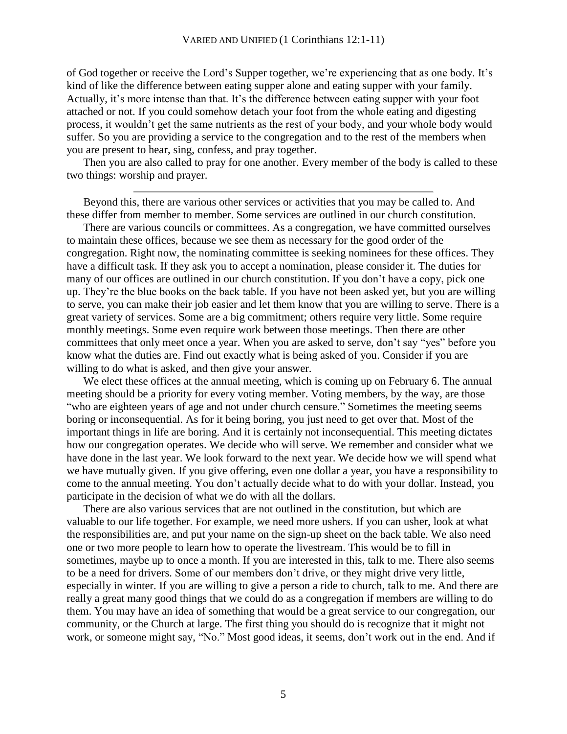of God together or receive the Lord's Supper together, we're experiencing that as one body. It's kind of like the difference between eating supper alone and eating supper with your family. Actually, it's more intense than that. It's the difference between eating supper with your foot attached or not. If you could somehow detach your foot from the whole eating and digesting process, it wouldn't get the same nutrients as the rest of your body, and your whole body would suffer. So you are providing a service to the congregation and to the rest of the members when you are present to hear, sing, confess, and pray together.

Then you are also called to pray for one another. Every member of the body is called to these two things: worship and prayer.

Beyond this, there are various other services or activities that you may be called to. And these differ from member to member. Some services are outlined in our church constitution.

There are various councils or committees. As a congregation, we have committed ourselves to maintain these offices, because we see them as necessary for the good order of the congregation. Right now, the nominating committee is seeking nominees for these offices. They have a difficult task. If they ask you to accept a nomination, please consider it. The duties for many of our offices are outlined in our church constitution. If you don't have a copy, pick one up. They're the blue books on the back table. If you have not been asked yet, but you are willing to serve, you can make their job easier and let them know that you are willing to serve. There is a great variety of services. Some are a big commitment; others require very little. Some require monthly meetings. Some even require work between those meetings. Then there are other committees that only meet once a year. When you are asked to serve, don't say "yes" before you know what the duties are. Find out exactly what is being asked of you. Consider if you are willing to do what is asked, and then give your answer.

We elect these offices at the annual meeting, which is coming up on February 6. The annual meeting should be a priority for every voting member. Voting members, by the way, are those "who are eighteen years of age and not under church censure." Sometimes the meeting seems boring or inconsequential. As for it being boring, you just need to get over that. Most of the important things in life are boring. And it is certainly not inconsequential. This meeting dictates how our congregation operates. We decide who will serve. We remember and consider what we have done in the last year. We look forward to the next year. We decide how we will spend what we have mutually given. If you give offering, even one dollar a year, you have a responsibility to come to the annual meeting. You don't actually decide what to do with your dollar. Instead, you participate in the decision of what we do with all the dollars.

There are also various services that are not outlined in the constitution, but which are valuable to our life together. For example, we need more ushers. If you can usher, look at what the responsibilities are, and put your name on the sign-up sheet on the back table. We also need one or two more people to learn how to operate the livestream. This would be to fill in sometimes, maybe up to once a month. If you are interested in this, talk to me. There also seems to be a need for drivers. Some of our members don't drive, or they might drive very little, especially in winter. If you are willing to give a person a ride to church, talk to me. And there are really a great many good things that we could do as a congregation if members are willing to do them. You may have an idea of something that would be a great service to our congregation, our community, or the Church at large. The first thing you should do is recognize that it might not work, or someone might say, "No." Most good ideas, it seems, don't work out in the end. And if